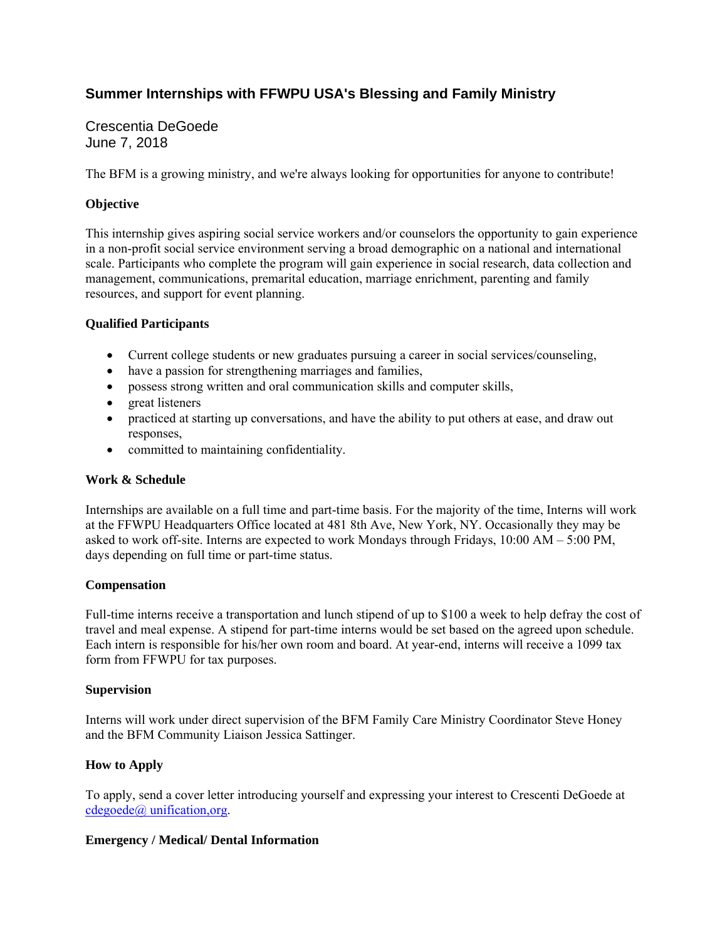# **Summer Internships with FFWPU USA's Blessing and Family Ministry**

## Crescentia DeGoede June 7, 2018

The BFM is a growing ministry, and we're always looking for opportunities for anyone to contribute!

### **Objective**

This internship gives aspiring social service workers and/or counselors the opportunity to gain experience in a non-profit social service environment serving a broad demographic on a national and international scale. Participants who complete the program will gain experience in social research, data collection and management, communications, premarital education, marriage enrichment, parenting and family resources, and support for event planning.

### **Qualified Participants**

- Current college students or new graduates pursuing a career in social services/counseling,
- have a passion for strengthening marriages and families,
- possess strong written and oral communication skills and computer skills,
- great listeners
- practiced at starting up conversations, and have the ability to put others at ease, and draw out responses,
- committed to maintaining confidentiality.

#### **Work & Schedule**

Internships are available on a full time and part-time basis. For the majority of the time, Interns will work at the FFWPU Headquarters Office located at 481 8th Ave, New York, NY. Occasionally they may be asked to work off-site. Interns are expected to work Mondays through Fridays, 10:00 AM – 5:00 PM, days depending on full time or part-time status.

#### **Compensation**

Full-time interns receive a transportation and lunch stipend of up to \$100 a week to help defray the cost of travel and meal expense. A stipend for part-time interns would be set based on the agreed upon schedule. Each intern is responsible for his/her own room and board. At year-end, interns will receive a 1099 tax form from FFWPU for tax purposes.

#### **Supervision**

Interns will work under direct supervision of the BFM Family Care Ministry Coordinator Steve Honey and the BFM Community Liaison Jessica Sattinger.

### **How to Apply**

To apply, send a cover letter introducing yourself and expressing your interest to Crescenti DeGoede at cdegoede@ unification,org.

#### **Emergency / Medical/ Dental Information**